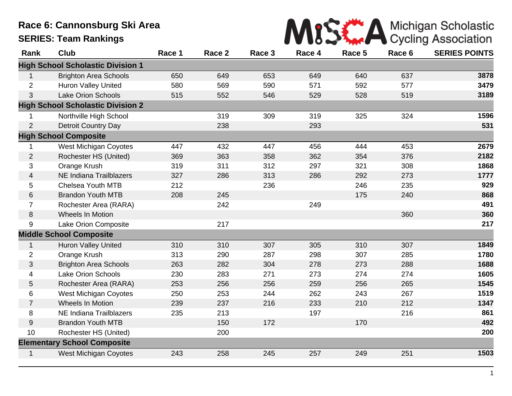## **Race 6: Cannonsburg Ski Area SERIES: Team Rankings**

| MISS A Michigan Scholastic |  |  |  |
|----------------------------|--|--|--|
|                            |  |  |  |

| Rank           | <b>Club</b>                              | Race 1 | Race 2 | Race 3 | Race 4 | Race 5 | Race 6 | <b>SERIES POINTS</b> |
|----------------|------------------------------------------|--------|--------|--------|--------|--------|--------|----------------------|
|                | <b>High School Scholastic Division 1</b> |        |        |        |        |        |        |                      |
| $\mathbf{1}$   | <b>Brighton Area Schools</b>             | 650    | 649    | 653    | 649    | 640    | 637    | 3878                 |
| $\overline{2}$ | Huron Valley United                      | 580    | 569    | 590    | 571    | 592    | 577    | 3479                 |
| 3              | <b>Lake Orion Schools</b>                | 515    | 552    | 546    | 529    | 528    | 519    | 3189                 |
|                | <b>High School Scholastic Division 2</b> |        |        |        |        |        |        |                      |
| 1              | Northville High School                   |        | 319    | 309    | 319    | 325    | 324    | 1596                 |
| $\overline{2}$ | <b>Detroit Country Day</b>               |        | 238    |        | 293    |        |        | 531                  |
|                | <b>High School Composite</b>             |        |        |        |        |        |        |                      |
| 1              | West Michigan Coyotes                    | 447    | 432    | 447    | 456    | 444    | 453    | 2679                 |
| $\overline{2}$ | Rochester HS (United)                    | 369    | 363    | 358    | 362    | 354    | 376    | 2182                 |
| 3              | Orange Krush                             | 319    | 311    | 312    | 297    | 321    | 308    | 1868                 |
| 4              | <b>NE Indiana Trailblazers</b>           | 327    | 286    | 313    | 286    | 292    | 273    | 1777                 |
| 5              | Chelsea Youth MTB                        | 212    |        | 236    |        | 246    | 235    | 929                  |
| $6\,$          | <b>Brandon Youth MTB</b>                 | 208    | 245    |        |        | 175    | 240    | 868                  |
| $\overline{7}$ | Rochester Area (RARA)                    |        | 242    |        | 249    |        |        | 491                  |
| 8              | <b>Wheels In Motion</b>                  |        |        |        |        |        | 360    | 360                  |
| 9              | Lake Orion Composite                     |        | 217    |        |        |        |        | 217                  |
|                | <b>Middle School Composite</b>           |        |        |        |        |        |        |                      |
| $\mathbf{1}$   | <b>Huron Valley United</b>               | 310    | 310    | 307    | 305    | 310    | 307    | 1849                 |
| $\overline{2}$ | Orange Krush                             | 313    | 290    | 287    | 298    | 307    | 285    | 1780                 |
| 3              | <b>Brighton Area Schools</b>             | 263    | 282    | 304    | 278    | 273    | 288    | 1688                 |
| 4              | <b>Lake Orion Schools</b>                | 230    | 283    | 271    | 273    | 274    | 274    | 1605                 |
| 5              | Rochester Area (RARA)                    | 253    | 256    | 256    | 259    | 256    | 265    | 1545                 |
| 6              | <b>West Michigan Coyotes</b>             | 250    | 253    | 244    | 262    | 243    | 267    | 1519                 |
| $\overline{7}$ | Wheels In Motion                         | 239    | 237    | 216    | 233    | 210    | 212    | 1347                 |
| 8              | <b>NE Indiana Trailblazers</b>           | 235    | 213    |        | 197    |        | 216    | 861                  |
| 9              | <b>Brandon Youth MTB</b>                 |        | 150    | 172    |        | 170    |        | 492                  |
| 10             | Rochester HS (United)                    |        | 200    |        |        |        |        | 200                  |
|                | <b>Elementary School Composite</b>       |        |        |        |        |        |        |                      |
| $\mathbf{1}$   | <b>West Michigan Coyotes</b>             | 243    | 258    | 245    | 257    | 249    | 251    | 1503                 |
|                |                                          |        |        |        |        |        |        |                      |